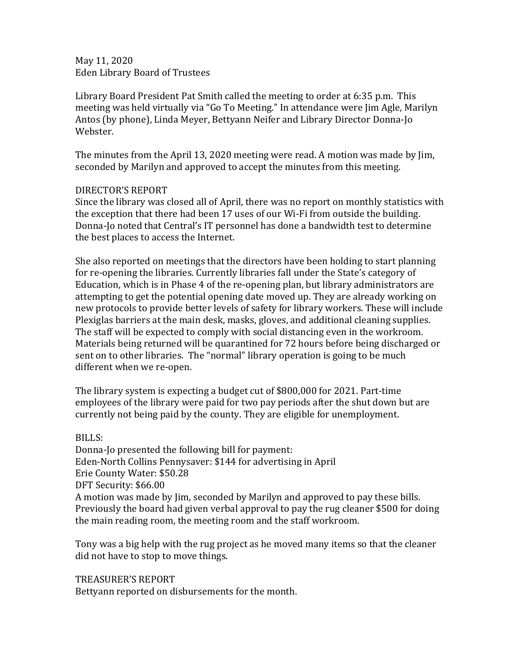May 11, 2020 Eden Library Board of Trustees

Library Board President Pat Smith called the meeting to order at 6:35 p.m. This meeting was held virtually via "Go To Meeting." In attendance were Jim Agle, Marilyn Antos (by phone), Linda Meyer, Bettyann Neifer and Library Director Donna-Jo Webster.

The minutes from the April 13, 2020 meeting were read. A motion was made by Jim, seconded by Marilyn and approved to accept the minutes from this meeting.

## DIRECTOR'S REPORT

Since the library was closed all of April, there was no report on monthly statistics with the exception that there had been 17 uses of our Wi-Fi from outside the building. Donna-Jo noted that Central's IT personnel has done a bandwidth test to determine the best places to access the Internet.

She also reported on meetings that the directors have been holding to start planning for re-opening the libraries. Currently libraries fall under the State's category of Education, which is in Phase 4 of the re-opening plan, but library administrators are attempting to get the potential opening date moved up. They are already working on new protocols to provide better levels of safety for library workers. These will include Plexiglas barriers at the main desk, masks, gloves, and additional cleaning supplies. The staff will be expected to comply with social distancing even in the workroom. Materials being returned will be quarantined for 72 hours before being discharged or sent on to other libraries. The "normal" library operation is going to be much different when we re-open.

The library system is expecting a budget cut of \$800,000 for 2021. Part-time employees of the library were paid for two pay periods after the shut down but are currently not being paid by the county. They are eligible for unemployment.

## BILLS:

Donna-Jo presented the following bill for payment: Eden-North Collins Pennysaver: \$144 for advertising in April Erie County Water: \$50.28 DFT Security: \$66.00 A motion was made by Jim, seconded by Marilyn and approved to pay these bills. Previously the board had given verbal approval to pay the rug cleaner \$500 for doing the main reading room, the meeting room and the staff workroom.

Tony was a big help with the rug project as he moved many items so that the cleaner did not have to stop to move things.

## TREASURER'S REPORT

Bettyann reported on disbursements for the month.